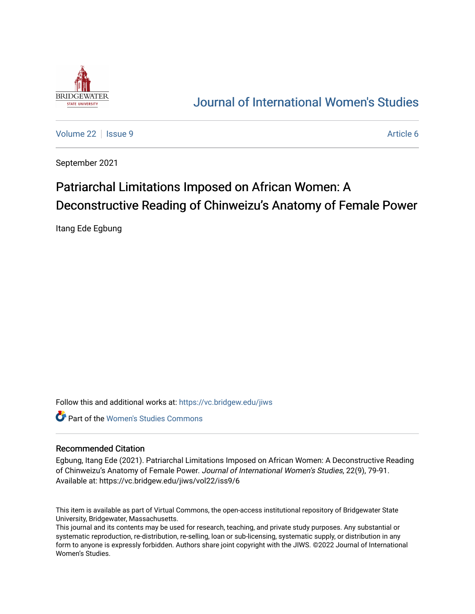

## [Journal of International Women's Studies](https://vc.bridgew.edu/jiws)

[Volume 22](https://vc.bridgew.edu/jiws/vol22) | [Issue 9](https://vc.bridgew.edu/jiws/vol22/iss9) Article 6

September 2021

# Patriarchal Limitations Imposed on African Women: A Deconstructive Reading of Chinweizu's Anatomy of Female Power

Itang Ede Egbung

Follow this and additional works at: [https://vc.bridgew.edu/jiws](https://vc.bridgew.edu/jiws?utm_source=vc.bridgew.edu%2Fjiws%2Fvol22%2Fiss9%2F6&utm_medium=PDF&utm_campaign=PDFCoverPages)

Part of the [Women's Studies Commons](http://network.bepress.com/hgg/discipline/561?utm_source=vc.bridgew.edu%2Fjiws%2Fvol22%2Fiss9%2F6&utm_medium=PDF&utm_campaign=PDFCoverPages) 

#### Recommended Citation

Egbung, Itang Ede (2021). Patriarchal Limitations Imposed on African Women: A Deconstructive Reading of Chinweizu's Anatomy of Female Power. Journal of International Women's Studies, 22(9), 79-91. Available at: https://vc.bridgew.edu/jiws/vol22/iss9/6

This item is available as part of Virtual Commons, the open-access institutional repository of Bridgewater State University, Bridgewater, Massachusetts.

This journal and its contents may be used for research, teaching, and private study purposes. Any substantial or systematic reproduction, re-distribution, re-selling, loan or sub-licensing, systematic supply, or distribution in any form to anyone is expressly forbidden. Authors share joint copyright with the JIWS. ©2022 Journal of International Women's Studies.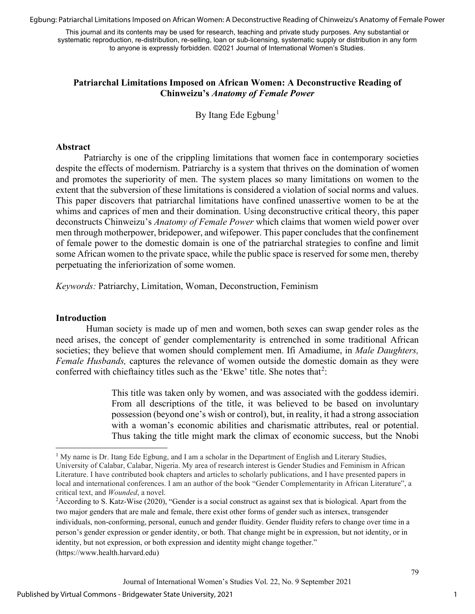Egbung: Patriarchal Limitations Imposed on African Women: A Deconstructive Reading of Chinweizu's Anatomy of Female Power

This journal and its contents may be used for research, teaching and private study purposes. Any substantial or systematic reproduction, re-distribution, re-selling, loan or sub-licensing, systematic supply or distribution in any form to anyone is expressly forbidden. ©2021 Journal of International Women's Studies.

### **Patriarchal Limitations Imposed on African Women: A Deconstructive Reading of Chinweizu's** *Anatomy of Female Power*

By Itang Ede Egbung<sup>[1](#page-1-0)</sup>

#### **Abstract**

Patriarchy is one of the crippling limitations that women face in contemporary societies despite the effects of modernism. Patriarchy is a system that thrives on the domination of women and promotes the superiority of men. The system places so many limitations on women to the extent that the subversion of these limitations is considered a violation of social norms and values. This paper discovers that patriarchal limitations have confined unassertive women to be at the whims and caprices of men and their domination. Using deconstructive critical theory, this paper deconstructs Chinweizu's *Anatomy of Female Power* which claims that women wield power over men through motherpower, bridepower, and wifepower. This paper concludes that the confinement of female power to the domestic domain is one of the patriarchal strategies to confine and limit some African women to the private space, while the public space is reserved for some men, thereby perpetuating the inferiorization of some women.

*Keywords:* Patriarchy, Limitation, Woman, Deconstruction, Feminism

#### **Introduction**

 Human society is made up of men and women, both sexes can swap gender roles as the need arises, the concept of gender complementarity is entrenched in some traditional African societies; they believe that women should complement men. Ifi Amadiume, in *Male Daughters, Female Husbands,* captures the relevance of women outside the domestic domain as they were conferred with chieftaincy titles such as the 'Ekwe' title. She notes that<sup>[2](#page-1-1)</sup>:

> This title was taken only by women, and was associated with the goddess idemiri. From all descriptions of the title, it was believed to be based on involuntary possession (beyond one's wish or control), but, in reality, it had a strong association with a woman's economic abilities and charismatic attributes, real or potential. Thus taking the title might mark the climax of economic success, but the Nnobi

(https://www.health.harvard.edu)

1

<span id="page-1-0"></span><sup>&</sup>lt;sup>1</sup> My name is Dr. Itang Ede Egbung, and I am a scholar in the Department of English and Literary Studies, University of Calabar, Calabar, Nigeria. My area of research interest is Gender Studies and Feminism in African Literature. I have contributed book chapters and articles to scholarly publications, and I have presented papers in local and international conferences. I am an author of the book "Gender Complementarity in African Literature", a critical text, and *Wounded*, a novel.

<span id="page-1-1"></span><sup>&</sup>lt;sup>2</sup>According to S. Katz-Wise (2020), "Gender is a social construct as against sex that is biological. Apart from the two major genders that are male and female, there exist other forms of gender such as intersex, transgender individuals, non-conforming, personal, eunuch and gender fluidity. Gender fluidity refers to change over time in a person's gender expression or gender identity, or both. That change might be in expression, but not identity, or in identity, but not expression, or both expression and identity might change together."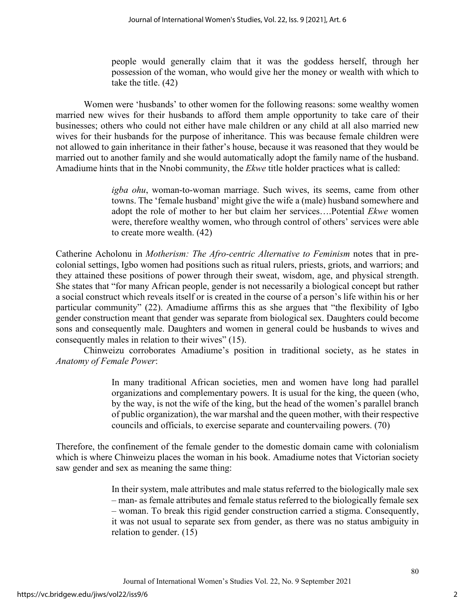people would generally claim that it was the goddess herself, through her possession of the woman, who would give her the money or wealth with which to take the title. (42)

Women were 'husbands' to other women for the following reasons: some wealthy women married new wives for their husbands to afford them ample opportunity to take care of their businesses; others who could not either have male children or any child at all also married new wives for their husbands for the purpose of inheritance. This was because female children were not allowed to gain inheritance in their father's house, because it was reasoned that they would be married out to another family and she would automatically adopt the family name of the husband. Amadiume hints that in the Nnobi community, the *Ekwe* title holder practices what is called:

> *igba ohu*, woman-to-woman marriage. Such wives, its seems, came from other towns. The 'female husband' might give the wife a (male) husband somewhere and adopt the role of mother to her but claim her services….Potential *Ekwe* women were, therefore wealthy women, who through control of others' services were able to create more wealth. (42)

Catherine Acholonu in *Motherism: The Afro-centric Alternative to Feminism* notes that in precolonial settings, Igbo women had positions such as ritual rulers, priests, griots, and warriors; and they attained these positions of power through their sweat, wisdom, age, and physical strength. She states that "for many African people, gender is not necessarily a biological concept but rather a social construct which reveals itself or is created in the course of a person's life within his or her particular community" (22). Amadiume affirms this as she argues that "the flexibility of Igbo gender construction meant that gender was separate from biological sex. Daughters could become sons and consequently male. Daughters and women in general could be husbands to wives and consequently males in relation to their wives" (15).

Chinweizu corroborates Amadiume's position in traditional society, as he states in *Anatomy of Female Power*:

> In many traditional African societies, men and women have long had parallel organizations and complementary powers. It is usual for the king, the queen (who, by the way, is not the wife of the king, but the head of the women's parallel branch of public organization), the war marshal and the queen mother, with their respective councils and officials, to exercise separate and countervailing powers. (70)

Therefore, the confinement of the female gender to the domestic domain came with colonialism which is where Chinweizu places the woman in his book. Amadiume notes that Victorian society saw gender and sex as meaning the same thing:

> In their system, male attributes and male status referred to the biologically male sex – man- as female attributes and female status referred to the biologically female sex – woman. To break this rigid gender construction carried a stigma. Consequently, it was not usual to separate sex from gender, as there was no status ambiguity in relation to gender. (15)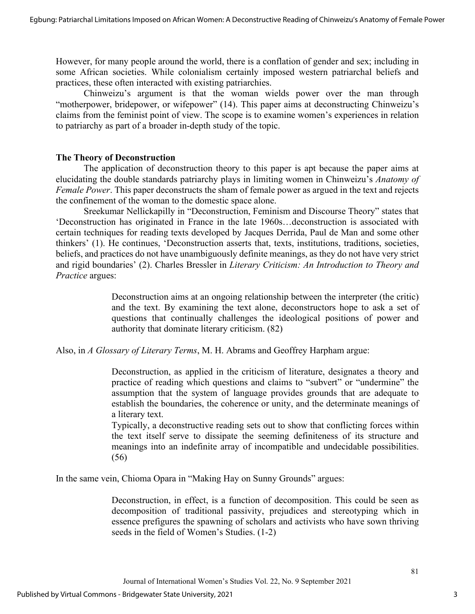However, for many people around the world, there is a conflation of gender and sex; including in some African societies. While colonialism certainly imposed western patriarchal beliefs and practices, these often interacted with existing patriarchies.

Chinweizu's argument is that the woman wields power over the man through "motherpower, bridepower, or wifepower" (14). This paper aims at deconstructing Chinweizu's claims from the feminist point of view. The scope is to examine women's experiences in relation to patriarchy as part of a broader in-depth study of the topic.

#### **The Theory of Deconstruction**

The application of deconstruction theory to this paper is apt because the paper aims at elucidating the double standards patriarchy plays in limiting women in Chinweizu's *Anatomy of Female Power*. This paper deconstructs the sham of female power as argued in the text and rejects the confinement of the woman to the domestic space alone.

Sreekumar Nellickapilly in "Deconstruction, Feminism and Discourse Theory" states that 'Deconstruction has originated in France in the late 1960s…deconstruction is associated with certain techniques for reading texts developed by Jacques Derrida, Paul de Man and some other thinkers' (1). He continues, 'Deconstruction asserts that, texts, institutions, traditions, societies, beliefs, and practices do not have unambiguously definite meanings, as they do not have very strict and rigid boundaries' (2). Charles Bressler in *Literary Criticism: An Introduction to Theory and Practice* argues:

> Deconstruction aims at an ongoing relationship between the interpreter (the critic) and the text. By examining the text alone, deconstructors hope to ask a set of questions that continually challenges the ideological positions of power and authority that dominate literary criticism. (82)

Also, in *A Glossary of Literary Terms*, M. H. Abrams and Geoffrey Harpham argue:

Deconstruction, as applied in the criticism of literature, designates a theory and practice of reading which questions and claims to "subvert" or "undermine" the assumption that the system of language provides grounds that are adequate to establish the boundaries, the coherence or unity, and the determinate meanings of a literary text.

Typically, a deconstructive reading sets out to show that conflicting forces within the text itself serve to dissipate the seeming definiteness of its structure and meanings into an indefinite array of incompatible and undecidable possibilities. (56)

In the same vein, Chioma Opara in "Making Hay on Sunny Grounds" argues:

Deconstruction, in effect, is a function of decomposition. This could be seen as decomposition of traditional passivity, prejudices and stereotyping which in essence prefigures the spawning of scholars and activists who have sown thriving seeds in the field of Women's Studies. (1-2)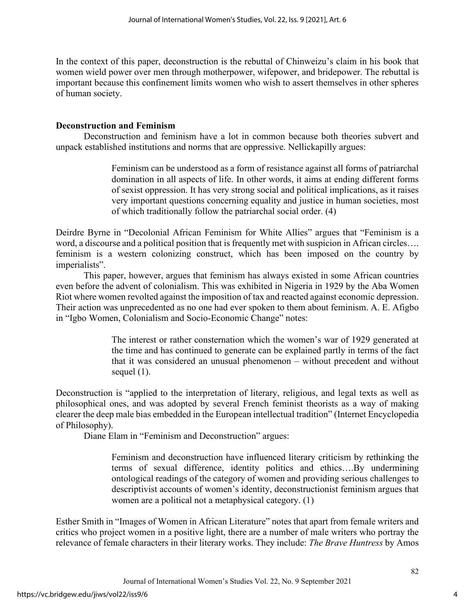In the context of this paper, deconstruction is the rebuttal of Chinweizu's claim in his book that women wield power over men through motherpower, wifepower, and bridepower. The rebuttal is important because this confinement limits women who wish to assert themselves in other spheres of human society.

### **Deconstruction and Feminism**

Deconstruction and feminism have a lot in common because both theories subvert and unpack established institutions and norms that are oppressive. Nellickapilly argues:

> Feminism can be understood as a form of resistance against all forms of patriarchal domination in all aspects of life. In other words, it aims at ending different forms of sexist oppression. It has very strong social and political implications, as it raises very important questions concerning equality and justice in human societies, most of which traditionally follow the patriarchal social order. (4)

Deirdre Byrne in "Decolonial African Feminism for White Allies" argues that "Feminism is a word, a discourse and a political position that is frequently met with suspicion in African circles…. feminism is a western colonizing construct, which has been imposed on the country by imperialists".

This paper, however, argues that feminism has always existed in some African countries even before the advent of colonialism. This was exhibited in Nigeria in 1929 by the Aba Women Riot where women revolted against the imposition of tax and reacted against economic depression. Their action was unprecedented as no one had ever spoken to them about feminism. A. E. Afigbo in "Igbo Women, Colonialism and Socio-Economic Change" notes:

> The interest or rather consternation which the women's war of 1929 generated at the time and has continued to generate can be explained partly in terms of the fact that it was considered an unusual phenomenon – without precedent and without sequel (1).

Deconstruction is "applied to the interpretation of literary, religious, and legal texts as well as philosophical ones, and was adopted by several French feminist theorists as a way of making clearer the deep male bias embedded in the European intellectual tradition" (Internet Encyclopedia of Philosophy).

Diane Elam in "Feminism and Deconstruction" argues:

Feminism and deconstruction have influenced literary criticism by rethinking the terms of sexual difference, identity politics and ethics….By undermining ontological readings of the category of women and providing serious challenges to descriptivist accounts of women's identity, deconstructionist feminism argues that women are a political not a metaphysical category. (1)

Esther Smith in "Images of Women in African Literature" notes that apart from female writers and critics who project women in a positive light, there are a number of male writers who portray the relevance of female characters in their literary works. They include: *The Brave Huntress* by Amos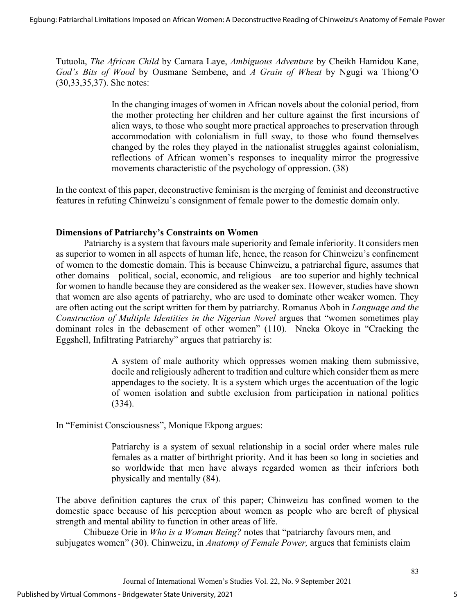Tutuola, *The African Child* by Camara Laye, *Ambiguous Adventure* by Cheikh Hamidou Kane, *God's Bits of Wood* by Ousmane Sembene, and *A Grain of Wheat* by Ngugi wa Thiong'O (30,33,35,37). She notes:

> In the changing images of women in African novels about the colonial period, from the mother protecting her children and her culture against the first incursions of alien ways, to those who sought more practical approaches to preservation through accommodation with colonialism in full sway, to those who found themselves changed by the roles they played in the nationalist struggles against colonialism, reflections of African women's responses to inequality mirror the progressive movements characteristic of the psychology of oppression. (38)

In the context of this paper, deconstructive feminism is the merging of feminist and deconstructive features in refuting Chinweizu's consignment of female power to the domestic domain only.

### **Dimensions of Patriarchy's Constraints on Women**

Patriarchy is a system that favours male superiority and female inferiority. It considers men as superior to women in all aspects of human life, hence, the reason for Chinweizu's confinement of women to the domestic domain. This is because Chinweizu, a patriarchal figure, assumes that other domains—political, social, economic, and religious—are too superior and highly technical for women to handle because they are considered as the weaker sex. However, studies have shown that women are also agents of patriarchy, who are used to dominate other weaker women. They are often acting out the script written for them by patriarchy. Romanus Aboh in *Language and the Construction of Multiple Identities in the Nigerian Novel* argues that "women sometimes play dominant roles in the debasement of other women" (110). Nneka Okoye in "Cracking the Eggshell, Infiltrating Patriarchy" argues that patriarchy is:

> A system of male authority which oppresses women making them submissive, docile and religiously adherent to tradition and culture which consider them as mere appendages to the society. It is a system which urges the accentuation of the logic of women isolation and subtle exclusion from participation in national politics (334).

In "Feminist Consciousness", Monique Ekpong argues:

Patriarchy is a system of sexual relationship in a social order where males rule females as a matter of birthright priority. And it has been so long in societies and so worldwide that men have always regarded women as their inferiors both physically and mentally (84).

The above definition captures the crux of this paper; Chinweizu has confined women to the domestic space because of his perception about women as people who are bereft of physical strength and mental ability to function in other areas of life.

Chibueze Orie in *Who is a Woman Being?* notes that "patriarchy favours men, and subjugates women" (30). Chinweizu, in *Anatomy of Female Power,* argues that feminists claim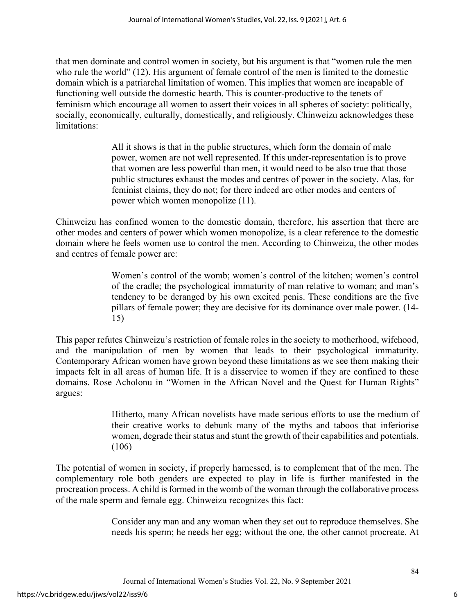that men dominate and control women in society, but his argument is that "women rule the men who rule the world" (12). His argument of female control of the men is limited to the domestic domain which is a patriarchal limitation of women. This implies that women are incapable of functioning well outside the domestic hearth. This is counter-productive to the tenets of feminism which encourage all women to assert their voices in all spheres of society: politically, socially, economically, culturally, domestically, and religiously. Chinweizu acknowledges these limitations:

> All it shows is that in the public structures, which form the domain of male power, women are not well represented. If this under-representation is to prove that women are less powerful than men, it would need to be also true that those public structures exhaust the modes and centres of power in the society. Alas, for feminist claims, they do not; for there indeed are other modes and centers of power which women monopolize (11).

Chinweizu has confined women to the domestic domain, therefore, his assertion that there are other modes and centers of power which women monopolize, is a clear reference to the domestic domain where he feels women use to control the men. According to Chinweizu, the other modes and centres of female power are:

> Women's control of the womb; women's control of the kitchen; women's control of the cradle; the psychological immaturity of man relative to woman; and man's tendency to be deranged by his own excited penis. These conditions are the five pillars of female power; they are decisive for its dominance over male power. (14- 15)

This paper refutes Chinweizu's restriction of female roles in the society to motherhood, wifehood, and the manipulation of men by women that leads to their psychological immaturity. Contemporary African women have grown beyond these limitations as we see them making their impacts felt in all areas of human life. It is a disservice to women if they are confined to these domains. Rose Acholonu in "Women in the African Novel and the Quest for Human Rights" argues:

> Hitherto, many African novelists have made serious efforts to use the medium of their creative works to debunk many of the myths and taboos that inferiorise women, degrade their status and stunt the growth of their capabilities and potentials. (106)

The potential of women in society, if properly harnessed, is to complement that of the men. The complementary role both genders are expected to play in life is further manifested in the procreation process. A child is formed in the womb of the woman through the collaborative process of the male sperm and female egg. Chinweizu recognizes this fact:

> Consider any man and any woman when they set out to reproduce themselves. She needs his sperm; he needs her egg; without the one, the other cannot procreate. At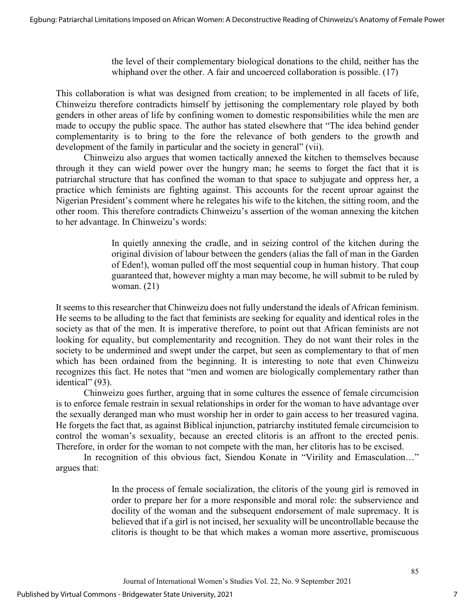the level of their complementary biological donations to the child, neither has the whiphand over the other. A fair and uncoerced collaboration is possible. (17)

This collaboration is what was designed from creation; to be implemented in all facets of life, Chinweizu therefore contradicts himself by jettisoning the complementary role played by both genders in other areas of life by confining women to domestic responsibilities while the men are made to occupy the public space. The author has stated elsewhere that "The idea behind gender complementarity is to bring to the fore the relevance of both genders to the growth and development of the family in particular and the society in general" (vii).

Chinweizu also argues that women tactically annexed the kitchen to themselves because through it they can wield power over the hungry man; he seems to forget the fact that it is patriarchal structure that has confined the woman to that space to subjugate and oppress her, a practice which feminists are fighting against. This accounts for the recent uproar against the Nigerian President's comment where he relegates his wife to the kitchen, the sitting room, and the other room. This therefore contradicts Chinweizu's assertion of the woman annexing the kitchen to her advantage. In Chinweizu's words:

> In quietly annexing the cradle, and in seizing control of the kitchen during the original division of labour between the genders (alias the fall of man in the Garden of Eden!), woman pulled off the most sequential coup in human history. That coup guaranteed that, however mighty a man may become, he will submit to be ruled by woman. (21)

It seems to this researcher that Chinweizu does not fully understand the ideals of African feminism. He seems to be alluding to the fact that feminists are seeking for equality and identical roles in the society as that of the men. It is imperative therefore, to point out that African feminists are not looking for equality, but complementarity and recognition. They do not want their roles in the society to be undermined and swept under the carpet, but seen as complementary to that of men which has been ordained from the beginning. It is interesting to note that even Chinweizu recognizes this fact. He notes that "men and women are biologically complementary rather than identical" (93).

Chinweizu goes further, arguing that in some cultures the essence of female circumcision is to enforce female restrain in sexual relationships in order for the woman to have advantage over the sexually deranged man who must worship her in order to gain access to her treasured vagina. He forgets the fact that, as against Biblical injunction, patriarchy instituted female circumcision to control the woman's sexuality, because an erected clitoris is an affront to the erected penis. Therefore, in order for the woman to not compete with the man, her clitoris has to be excised.

In recognition of this obvious fact, Siendou Konate in "Virility and Emasculation..." argues that:

> In the process of female socialization, the clitoris of the young girl is removed in order to prepare her for a more responsible and moral role: the subservience and docility of the woman and the subsequent endorsement of male supremacy. It is believed that if a girl is not incised, her sexuality will be uncontrollable because the clitoris is thought to be that which makes a woman more assertive, promiscuous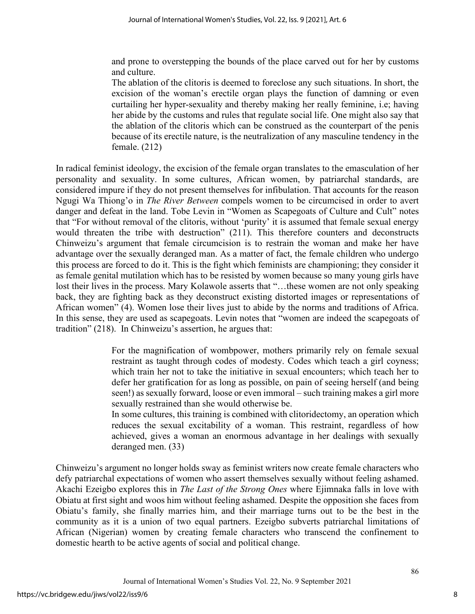and prone to overstepping the bounds of the place carved out for her by customs and culture.

The ablation of the clitoris is deemed to foreclose any such situations. In short, the excision of the woman's erectile organ plays the function of damning or even curtailing her hyper-sexuality and thereby making her really feminine, i.e; having her abide by the customs and rules that regulate social life. One might also say that the ablation of the clitoris which can be construed as the counterpart of the penis because of its erectile nature, is the neutralization of any masculine tendency in the female. (212)

In radical feminist ideology, the excision of the female organ translates to the emasculation of her personality and sexuality. In some cultures, African women, by patriarchal standards, are considered impure if they do not present themselves for infibulation. That accounts for the reason Ngugi Wa Thiong'o in *The River Between* compels women to be circumcised in order to avert danger and defeat in the land. Tobe Levin in "Women as Scapegoats of Culture and Cult" notes that "For without removal of the clitoris, without 'purity' it is assumed that female sexual energy would threaten the tribe with destruction" (211). This therefore counters and deconstructs Chinweizu's argument that female circumcision is to restrain the woman and make her have advantage over the sexually deranged man. As a matter of fact, the female children who undergo this process are forced to do it. This is the fight which feminists are championing; they consider it as female genital mutilation which has to be resisted by women because so many young girls have lost their lives in the process. Mary Kolawole asserts that "…these women are not only speaking back, they are fighting back as they deconstruct existing distorted images or representations of African women" (4). Women lose their lives just to abide by the norms and traditions of Africa. In this sense, they are used as scapegoats. Levin notes that "women are indeed the scapegoats of tradition" (218). In Chinweizu's assertion, he argues that:

> For the magnification of wombpower, mothers primarily rely on female sexual restraint as taught through codes of modesty. Codes which teach a girl coyness; which train her not to take the initiative in sexual encounters; which teach her to defer her gratification for as long as possible, on pain of seeing herself (and being seen!) as sexually forward, loose or even immoral – such training makes a girl more sexually restrained than she would otherwise be.

> In some cultures, this training is combined with clitoridectomy, an operation which reduces the sexual excitability of a woman. This restraint, regardless of how achieved, gives a woman an enormous advantage in her dealings with sexually deranged men. (33)

Chinweizu's argument no longer holds sway as feminist writers now create female characters who defy patriarchal expectations of women who assert themselves sexually without feeling ashamed. Akachi Ezeigbo explores this in *The Last of the Strong Ones* where Ejimnaka falls in love with Obiatu at first sight and woos him without feeling ashamed. Despite the opposition she faces from Obiatu's family, she finally marries him, and their marriage turns out to be the best in the community as it is a union of two equal partners. Ezeigbo subverts patriarchal limitations of African (Nigerian) women by creating female characters who transcend the confinement to domestic hearth to be active agents of social and political change.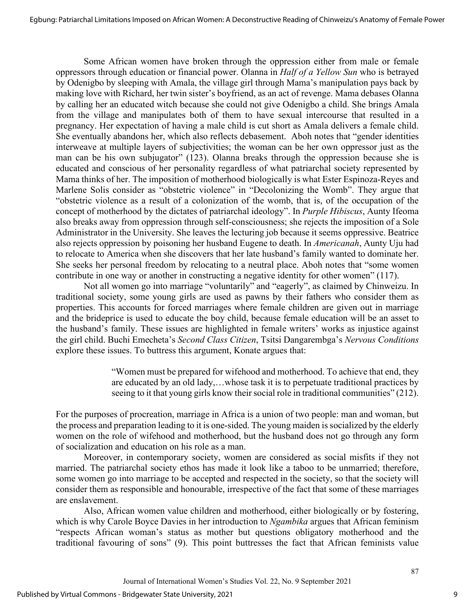Some African women have broken through the oppression either from male or female oppressors through education or financial power. Olanna in *Half of a Yellow Sun* who is betrayed by Odenigbo by sleeping with Amala, the village girl through Mama's manipulation pays back by making love with Richard, her twin sister's boyfriend, as an act of revenge. Mama debases Olanna by calling her an educated witch because she could not give Odenigbo a child. She brings Amala from the village and manipulates both of them to have sexual intercourse that resulted in a pregnancy. Her expectation of having a male child is cut short as Amala delivers a female child. She eventually abandons her, which also reflects debasement. Aboh notes that "gender identities interweave at multiple layers of subjectivities; the woman can be her own oppressor just as the man can be his own subjugator" (123). Olanna breaks through the oppression because she is educated and conscious of her personality regardless of what patriarchal society represented by Mama thinks of her. The imposition of motherhood biologically is what Ester Espinoza-Reyes and Marlene Solis consider as "obstetric violence" in "Decolonizing the Womb". They argue that "obstetric violence as a result of a colonization of the womb, that is, of the occupation of the concept of motherhood by the dictates of patriarchal ideology". In *Purple Hibiscus*, Aunty Ifeoma also breaks away from oppression through self-consciousness; she rejects the imposition of a Sole Administrator in the University. She leaves the lecturing job because it seems oppressive. Beatrice also rejects oppression by poisoning her husband Eugene to death. In *Americanah*, Aunty Uju had to relocate to America when she discovers that her late husband's family wanted to dominate her. She seeks her personal freedom by relocating to a neutral place. Aboh notes that "some women contribute in one way or another in constructing a negative identity for other women" (117).

 Not all women go into marriage "voluntarily" and "eagerly", as claimed by Chinweizu. In traditional society, some young girls are used as pawns by their fathers who consider them as properties. This accounts for forced marriages where female children are given out in marriage and the brideprice is used to educate the boy child, because female education will be an asset to the husband's family. These issues are highlighted in female writers' works as injustice against the girl child. Buchi Emecheta's *Second Class Citizen*, Tsitsi Dangarembga's *Nervous Conditions* explore these issues. To buttress this argument, Konate argues that:

> "Women must be prepared for wifehood and motherhood. To achieve that end, they are educated by an old lady,…whose task it is to perpetuate traditional practices by seeing to it that young girls know their social role in traditional communities" (212).

For the purposes of procreation, marriage in Africa is a union of two people: man and woman, but the process and preparation leading to it is one-sided. The young maiden is socialized by the elderly women on the role of wifehood and motherhood, but the husband does not go through any form of socialization and education on his role as a man.

Moreover, in contemporary society, women are considered as social misfits if they not married. The patriarchal society ethos has made it look like a taboo to be unmarried; therefore, some women go into marriage to be accepted and respected in the society, so that the society will consider them as responsible and honourable, irrespective of the fact that some of these marriages are enslavement.

Also, African women value children and motherhood, either biologically or by fostering, which is why Carole Boyce Davies in her introduction to *Ngambika* argues that African feminism "respects African woman's status as mother but questions obligatory motherhood and the traditional favouring of sons" (9). This point buttresses the fact that African feminists value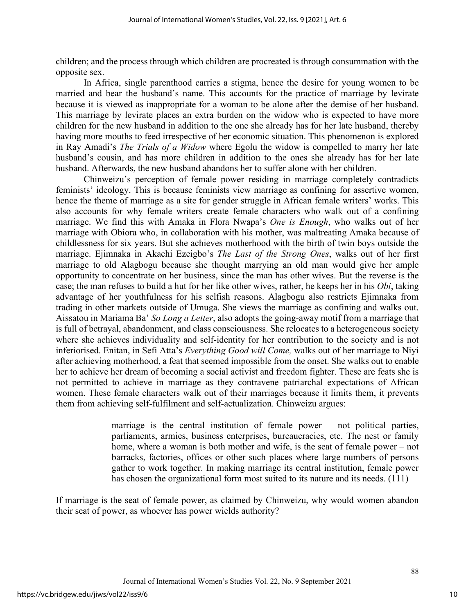children; and the process through which children are procreated is through consummation with the opposite sex.

In Africa, single parenthood carries a stigma, hence the desire for young women to be married and bear the husband's name. This accounts for the practice of marriage by levirate because it is viewed as inappropriate for a woman to be alone after the demise of her husband. This marriage by levirate places an extra burden on the widow who is expected to have more children for the new husband in addition to the one she already has for her late husband, thereby having more mouths to feed irrespective of her economic situation. This phenomenon is explored in Ray Amadi's *The Trials of a Widow* where Egolu the widow is compelled to marry her late husband's cousin, and has more children in addition to the ones she already has for her late husband. Afterwards, the new husband abandons her to suffer alone with her children.

Chinweizu's perception of female power residing in marriage completely contradicts feminists' ideology. This is because feminists view marriage as confining for assertive women, hence the theme of marriage as a site for gender struggle in African female writers' works. This also accounts for why female writers create female characters who walk out of a confining marriage. We find this with Amaka in Flora Nwapa's *One is Enough*, who walks out of her marriage with Obiora who, in collaboration with his mother, was maltreating Amaka because of childlessness for six years. But she achieves motherhood with the birth of twin boys outside the marriage. Ejimnaka in Akachi Ezeigbo's *The Last of the Strong Ones*, walks out of her first marriage to old Alagbogu because she thought marrying an old man would give her ample opportunity to concentrate on her business, since the man has other wives. But the reverse is the case; the man refuses to build a hut for her like other wives, rather, he keeps her in his *Obi*, taking advantage of her youthfulness for his selfish reasons. Alagbogu also restricts Ejimnaka from trading in other markets outside of Umuga. She views the marriage as confining and walks out. Aissatou in Mariama Ba' *So Long a Letter*, also adopts the going-away motif from a marriage that is full of betrayal, abandonment, and class consciousness. She relocates to a heterogeneous society where she achieves individuality and self-identity for her contribution to the society and is not inferiorised. Enitan, in Sefi Atta's *Everything Good will Come,* walks out of her marriage to Niyi after achieving motherhood, a feat that seemed impossible from the onset. She walks out to enable her to achieve her dream of becoming a social activist and freedom fighter. These are feats she is not permitted to achieve in marriage as they contravene patriarchal expectations of African women. These female characters walk out of their marriages because it limits them, it prevents them from achieving self-fulfilment and self-actualization. Chinweizu argues:

> marriage is the central institution of female power – not political parties, parliaments, armies, business enterprises, bureaucracies, etc. The nest or family home, where a woman is both mother and wife, is the seat of female power – not barracks, factories, offices or other such places where large numbers of persons gather to work together. In making marriage its central institution, female power has chosen the organizational form most suited to its nature and its needs. (111)

If marriage is the seat of female power, as claimed by Chinweizu, why would women abandon their seat of power, as whoever has power wields authority?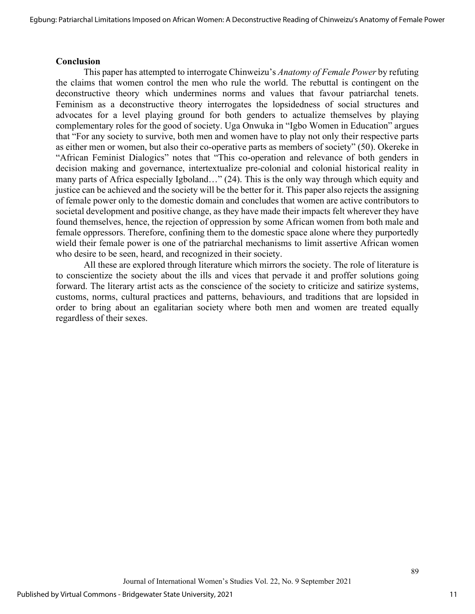#### **Conclusion**

This paper has attempted to interrogate Chinweizu's *Anatomy of Female Power* by refuting the claims that women control the men who rule the world. The rebuttal is contingent on the deconstructive theory which undermines norms and values that favour patriarchal tenets. Feminism as a deconstructive theory interrogates the lopsidedness of social structures and advocates for a level playing ground for both genders to actualize themselves by playing complementary roles for the good of society. Uga Onwuka in "Igbo Women in Education" argues that "For any society to survive, both men and women have to play not only their respective parts as either men or women, but also their co-operative parts as members of society" (50). Okereke in "African Feminist Dialogics" notes that "This co-operation and relevance of both genders in decision making and governance, intertextualize pre-colonial and colonial historical reality in many parts of Africa especially Igboland…" (24). This is the only way through which equity and justice can be achieved and the society will be the better for it. This paper also rejects the assigning of female power only to the domestic domain and concludes that women are active contributors to societal development and positive change, as they have made their impacts felt wherever they have found themselves, hence, the rejection of oppression by some African women from both male and female oppressors. Therefore, confining them to the domestic space alone where they purportedly wield their female power is one of the patriarchal mechanisms to limit assertive African women who desire to be seen, heard, and recognized in their society.

All these are explored through literature which mirrors the society. The role of literature is to conscientize the society about the ills and vices that pervade it and proffer solutions going forward. The literary artist acts as the conscience of the society to criticize and satirize systems, customs, norms, cultural practices and patterns, behaviours, and traditions that are lopsided in order to bring about an egalitarian society where both men and women are treated equally regardless of their sexes.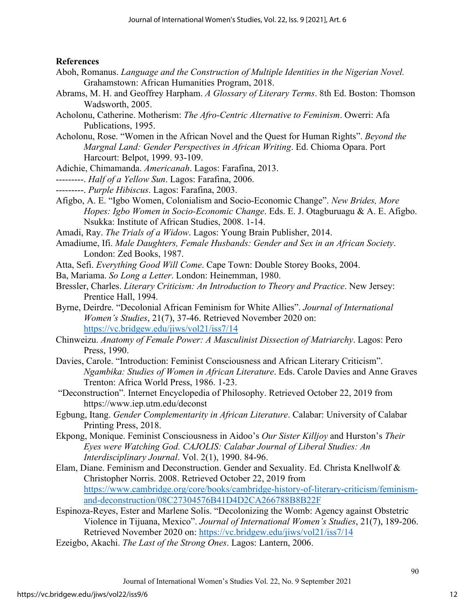#### **References**

- Aboh, Romanus. *Language and the Construction of Multiple Identities in the Nigerian Novel.* Grahamstown: African Humanities Program, 2018.
- Abrams, M. H. and Geoffrey Harpham. *A Glossary of Literary Terms*. 8th Ed. Boston: Thomson Wadsworth, 2005.
- Acholonu, Catherine. Motherism: *The Afro-Centric Alternative to Feminism*. Owerri: Afa Publications, 1995.
- Acholonu, Rose. "Women in the African Novel and the Quest for Human Rights". *Beyond the Margnal Land: Gender Perspectives in African Writing*. Ed. Chioma Opara. Port Harcourt: Belpot, 1999. 93-109.
- Adichie, Chimamanda. *Americanah*. Lagos: Farafina, 2013.
- ---------. *Half of a Yellow Sun*. Lagos: Farafina, 2006.
- ---------. *Purple Hibiscus*. Lagos: Farafina, 2003.
- Afigbo, A. E. "Igbo Women, Colonialism and Socio-Economic Change". *New Brides, More Hopes: Igbo Women in Socio-Economic Change*. Eds. E. J. Otagburuagu & A. E. Afigbo. Nsukka: Institute of African Studies, 2008. 1-14.
- Amadi, Ray. *The Trials of a Widow*. Lagos: Young Brain Publisher, 2014.
- Amadiume, Ifi. *Male Daughters, Female Husbands: Gender and Sex in an African Society*. London: Zed Books, 1987.
- Atta, Sefi. *Everything Good Will Come*. Cape Town: Double Storey Books, 2004.
- Ba, Mariama. *So Long a Letter*. London: Heinemman, 1980.
- Bressler, Charles. *Literary Criticism: An Introduction to Theory and Practice*. New Jersey: Prentice Hall, 1994.
- Byrne, Deirdre. "Decolonial African Feminism for White Allies". *Journal of International Women's Studies*, 21(7), 37-46. Retrieved November 2020 on: <https://vc.bridgew.edu/jiws/vol21/iss7/14>
- Chinweizu. *Anatomy of Female Power: A Masculinist Dissection of Matriarchy*. Lagos: Pero Press, 1990.
- Davies, Carole. "Introduction: Feminist Consciousness and African Literary Criticism". *Ngambika: Studies of Women in African Literature*. Eds. Carole Davies and Anne Graves Trenton: Africa World Press, 1986. 1-23.
- "Deconstruction". Internet Encyclopedia of Philosophy. Retrieved October 22, 2019 from <https://www.iep.utm.edu/deconst>
- Egbung, Itang. *Gender Complementarity in African Literature*. Calabar: University of Calabar Printing Press, 2018.
- Ekpong, Monique. Feminist Consciousness in Aidoo's *Our Sister Killjoy* and Hurston's *Their Eyes were Watching God. CAJOLIS: Calabar Journal of Liberal Studies: An Interdisciplinary Journal*. Vol. 2(1), 1990. 84-96.
- Elam, Diane. Feminism and Deconstruction. Gender and Sexuality. Ed. Christa Knellwolf & Christopher Norris. 2008. Retrieved October 22, 2019 from [https://www.cambridge.org/core/books/cambridge-history-of-literary-criticism/feminism](https://www.cambridge.org/core/books/cambridge-history-of-literary-criticism/feminism-and-deconstruction/08C27304576B41D4D2CA266788B8B22F)[and-deconstruction/08C27304576B41D4D2CA266788B8B22F](https://www.cambridge.org/core/books/cambridge-history-of-literary-criticism/feminism-and-deconstruction/08C27304576B41D4D2CA266788B8B22F)
- Espinoza-Reyes, Ester and Marlene Solis. "Decolonizing the Womb: Agency against Obstetric Violence in Tijuana, Mexico". *Journal of International Women's Studies*, 21(7), 189-206. Retrieved November 2020 on:<https://vc.bridgew.edu/jiws/vol21/iss7/14>
- Ezeigbo, Akachi. *The Last of the Strong Ones*. Lagos: Lantern, 2006.